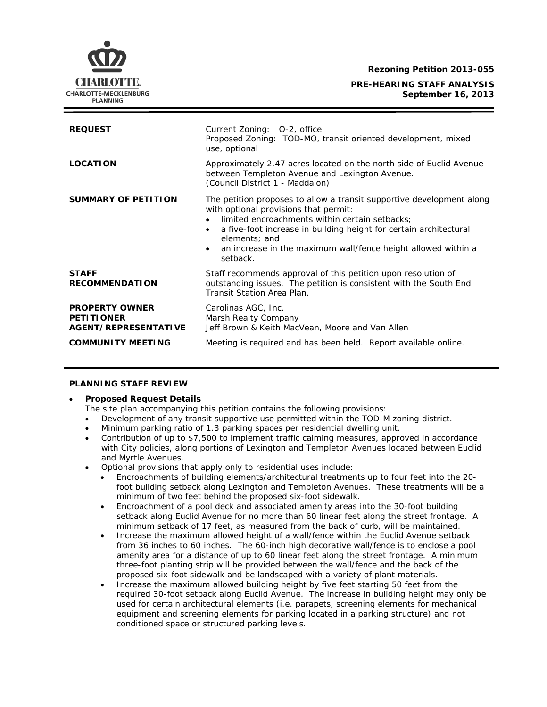**Rezoning Petition 2013-055**

**PRE-HEARING STAFF ANALYSIS September 16, 2013**



| <b>REQUEST</b>                                                     | Current Zoning: 0-2, office<br>Proposed Zoning: TOD-MO, transit oriented development, mixed<br>use, optional                                                                                                                                                                                                                                     |
|--------------------------------------------------------------------|--------------------------------------------------------------------------------------------------------------------------------------------------------------------------------------------------------------------------------------------------------------------------------------------------------------------------------------------------|
| <b>LOCATION</b>                                                    | Approximately 2.47 acres located on the north side of Euclid Avenue<br>between Templeton Avenue and Lexington Avenue.<br>(Council District 1 - Maddalon)                                                                                                                                                                                         |
| <b>SUMMARY OF PETITION</b>                                         | The petition proposes to allow a transit supportive development along<br>with optional provisions that permit:<br>limited encroachments within certain setbacks;<br>a five-foot increase in building height for certain architectural<br>elements: and<br>an increase in the maximum wall/fence height allowed within a<br>$\bullet$<br>setback. |
| <b>STAFF</b><br><b>RECOMMENDATION</b>                              | Staff recommends approval of this petition upon resolution of<br>outstanding issues. The petition is consistent with the South End<br>Transit Station Area Plan.                                                                                                                                                                                 |
| <b>PROPERTY OWNER</b><br><b>PETITIONER</b><br>AGENT/REPRESENTATIVE | Carolinas AGC, Inc.<br>Marsh Realty Company<br>Jeff Brown & Keith MacVean, Moore and Van Allen                                                                                                                                                                                                                                                   |
| <b>COMMUNITY MEETING</b>                                           | Meeting is required and has been held. Report available online.                                                                                                                                                                                                                                                                                  |

### **PLANNING STAFF REVIEW**

### • **Proposed Request Details**

- The site plan accompanying this petition contains the following provisions:
- Development of any transit supportive use permitted within the TOD-M zoning district.
- Minimum parking ratio of 1.3 parking spaces per residential dwelling unit.
- Contribution of up to \$7,500 to implement traffic calming measures, approved in accordance with City policies, along portions of Lexington and Templeton Avenues located between Euclid and Myrtle Avenues.
- Optional provisions that apply only to residential uses include:
	- Encroachments of building elements/architectural treatments up to four feet into the 20 foot building setback along Lexington and Templeton Avenues. These treatments will be a minimum of two feet behind the proposed six-foot sidewalk.
	- Encroachment of a pool deck and associated amenity areas into the 30-foot building setback along Euclid Avenue for no more than 60 linear feet along the street frontage. A minimum setback of 17 feet, as measured from the back of curb, will be maintained.
	- Increase the maximum allowed height of a wall/fence within the Euclid Avenue setback from 36 inches to 60 inches. The 60-inch high decorative wall/fence is to enclose a pool amenity area for a distance of up to 60 linear feet along the street frontage. A minimum three-foot planting strip will be provided between the wall/fence and the back of the proposed six-foot sidewalk and be landscaped with a variety of plant materials.
	- Increase the maximum allowed building height by five feet starting 50 feet from the required 30-foot setback along Euclid Avenue. The increase in building height may only be used for certain architectural elements (i.e. parapets, screening elements for mechanical equipment and screening elements for parking located in a parking structure) and not conditioned space or structured parking levels.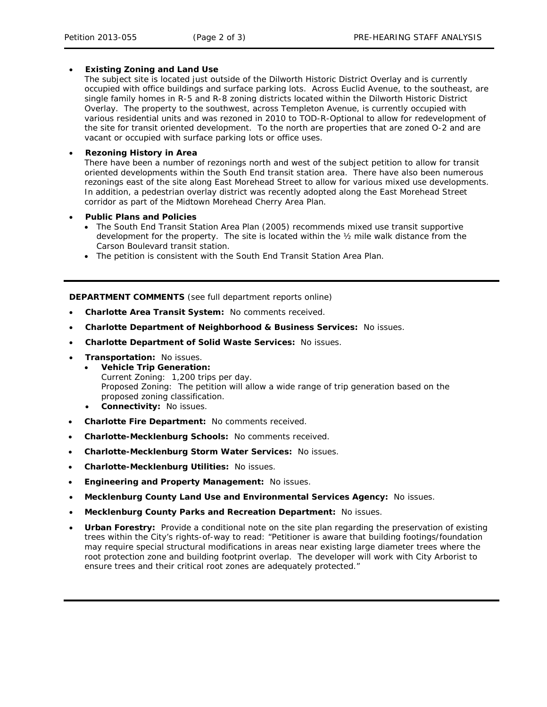### • **Existing Zoning and Land Use**

The subject site is located just outside of the Dilworth Historic District Overlay and is currently occupied with office buildings and surface parking lots. Across Euclid Avenue, to the southeast, are single family homes in R-5 and R-8 zoning districts located within the Dilworth Historic District Overlay. The property to the southwest, across Templeton Avenue, is currently occupied with various residential units and was rezoned in 2010 to TOD-R-Optional to allow for redevelopment of the site for transit oriented development. To the north are properties that are zoned O-2 and are vacant or occupied with surface parking lots or office uses.

## • **Rezoning History in Area**

There have been a number of rezonings north and west of the subject petition to allow for transit oriented developments within the South End transit station area. There have also been numerous rezonings east of the site along East Morehead Street to allow for various mixed use developments. In addition, a pedestrian overlay district was recently adopted along the East Morehead Street corridor as part of the *Midtown Morehead Cherry Area Plan*.

- **Public Plans and Policies**
	- The *South End Transit Station Area Plan* (2005) recommends mixed use transit supportive development for the property. The site is located within the ½ mile walk distance from the Carson Boulevard transit station.
	- The petition is consistent with the *South End Transit Station Area Plan*.

**DEPARTMENT COMMENTS** (see full department reports online)

- **Charlotte Area Transit System:** No comments received.
- **Charlotte Department of Neighborhood & Business Services:** No issues.
- **Charlotte Department of Solid Waste Services:** No issues.
- **Transportation:** No issues.
	- **Vehicle Trip Generation:** Current Zoning: 1,200 trips per day. Proposed Zoning: The petition will allow a wide range of trip generation based on the proposed zoning classification.
	- **Connectivity:** No issues.
- **Charlotte Fire Department:** No comments received.
- **Charlotte-Mecklenburg Schools:** No comments received.
- **Charlotte-Mecklenburg Storm Water Services:** No issues.
- **Charlotte-Mecklenburg Utilities:** No issues.
- **Engineering and Property Management:** No issues.
- **Mecklenburg County Land Use and Environmental Services Agency:** No issues.
- **Mecklenburg County Parks and Recreation Department:** No issues.
- **Urban Forestry:** Provide a conditional note on the site plan regarding the preservation of existing trees within the City's rights-of-way to read: "Petitioner is aware that building footings/foundation may require special structural modifications in areas near existing large diameter trees where the root protection zone and building footprint overlap. The developer will work with City Arborist to ensure trees and their critical root zones are adequately protected."